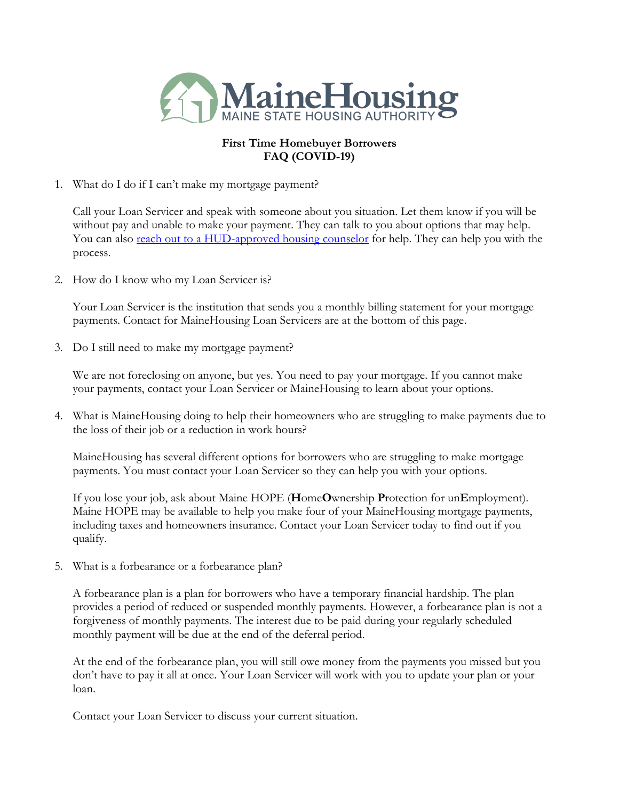

### **First Time Homebuyer Borrowers FAQ (COVID-19)**

1. What do I do if I can't make my mortgage payment?

Call your Loan Servicer and speak with someone about you situation. Let them know if you will be without pay and unable to make your payment. They can talk to you about options that may help. You can also [reach out to a HUD-approved housing counselor](http://www.hud.gov/findacounselor) for help. They can help you with the process.

2. How do I know who my Loan Servicer is?

Your Loan Servicer is the institution that sends you a monthly billing statement for your mortgage payments. Contact for MaineHousing Loan Servicers are at the bottom of this page.

3. Do I still need to make my mortgage payment?

We are not foreclosing on anyone, but yes. You need to pay your mortgage. If you cannot make your payments, contact your Loan Servicer or MaineHousing to learn about your options.

4. What is MaineHousing doing to help their homeowners who are struggling to make payments due to the loss of their job or a reduction in work hours?

MaineHousing has several different options for borrowers who are struggling to make mortgage payments. You must contact your Loan Servicer so they can help you with your options.

If you lose your job, ask about Maine HOPE (**H**ome**O**wnership **P**rotection for un**E**mployment). Maine HOPE may be available to help you make four of your MaineHousing mortgage payments, including taxes and homeowners insurance. Contact your Loan Servicer today to find out if you qualify.

5. What is a forbearance or a forbearance plan?

A forbearance plan is a plan for borrowers who have a temporary financial hardship. The plan provides a period of reduced or suspended monthly payments. However, a forbearance plan is not a forgiveness of monthly payments. The interest due to be paid during your regularly scheduled monthly payment will be due at the end of the deferral period.

At the end of the forbearance plan, you will still owe money from the payments you missed but you don't have to pay it all at once. Your Loan Servicer will work with you to update your plan or your loan.

Contact your Loan Servicer to discuss your current situation.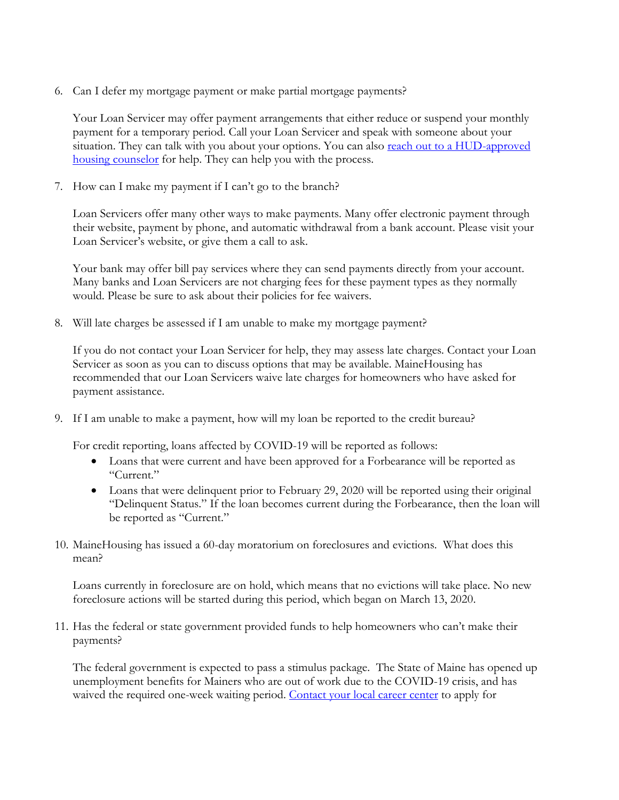6. Can I defer my mortgage payment or make partial mortgage payments?

Your Loan Servicer may offer payment arrangements that either reduce or suspend your monthly payment for a temporary period. Call your Loan Servicer and speak with someone about your situation. They can talk with you about your options. You can also reach out to a HUD-approved [housing counselor](http://www.hud.gov/findacounselor) for help. They can help you with the process.

7. How can I make my payment if I can't go to the branch?

Loan Servicers offer many other ways to make payments. Many offer electronic payment through their website, payment by phone, and automatic withdrawal from a bank account. Please visit your Loan Servicer's website, or give them a call to ask.

Your bank may offer bill pay services where they can send payments directly from your account. Many banks and Loan Servicers are not charging fees for these payment types as they normally would. Please be sure to ask about their policies for fee waivers.

8. Will late charges be assessed if I am unable to make my mortgage payment?

If you do not contact your Loan Servicer for help, they may assess late charges. Contact your Loan Servicer as soon as you can to discuss options that may be available. MaineHousing has recommended that our Loan Servicers waive late charges for homeowners who have asked for payment assistance.

9. If I am unable to make a payment, how will my loan be reported to the credit bureau?

For credit reporting, loans affected by COVID-19 will be reported as follows:

- Loans that were current and have been approved for a Forbearance will be reported as "Current."
- Loans that were delinquent prior to February 29, 2020 will be reported using their original "Delinquent Status." If the loan becomes current during the Forbearance, then the loan will be reported as "Current."
- 10. MaineHousing has issued a 60-day moratorium on foreclosures and evictions. What does this mean?

Loans currently in foreclosure are on hold, which means that no evictions will take place. No new foreclosure actions will be started during this period, which began on March 13, 2020.

11. Has the federal or state government provided funds to help homeowners who can't make their payments?

The federal government is expected to pass a stimulus package. The State of Maine has opened up unemployment benefits for Mainers who are out of work due to the COVID-19 crisis, and has waived the required one-week waiting period. [Contact your local career center](https://mainecareercenter.gov/locations) to apply for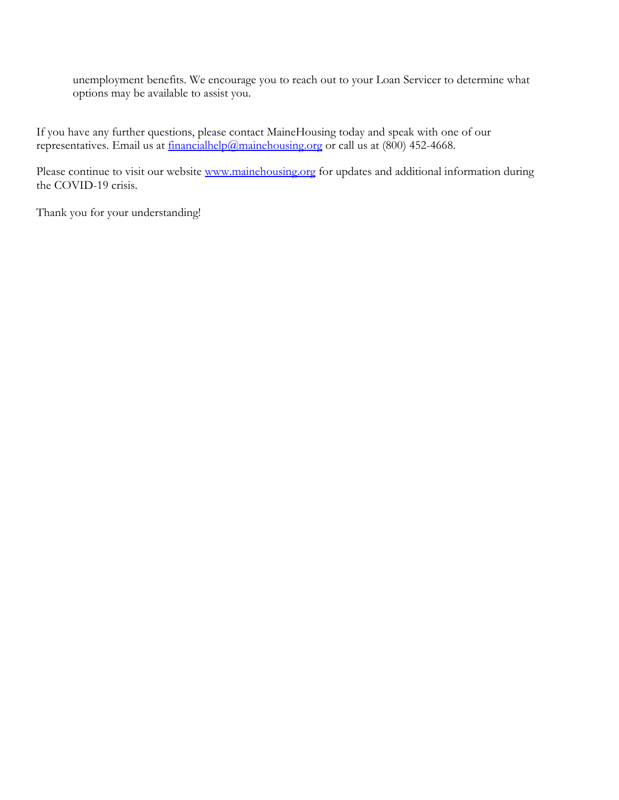unemployment benefits. We encourage you to reach out to your Loan Servicer to determine what options may be available to assist you.

If you have any further questions, please contact MaineHousing today and speak with one of our representatives. Email us at  $f_{\text{inancialhelp}}(a_{\text{mainehousing.org}})$  or call us at (800) 452-4668.

Please continue to visit our website [www.mainehousing.org](http://www.mainehousing.org/) for updates and additional information during the COVID-19 crisis.

Thank you for your understanding!